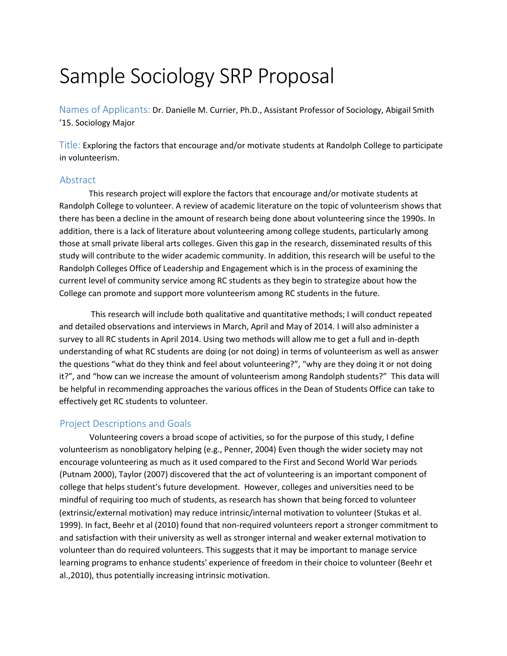# Sample Sociology SRP Proposal

Names of Applicants: Dr. Danielle M. Currier, Ph.D., Assistant Professor of Sociology, Abigail Smith '15. Sociology Major

Title: Exploring the factors that encourage and/or motivate students at Randolph College to participate in volunteerism.

## Abstract

This research project will explore the factors that encourage and/or motivate students at Randolph College to volunteer. A review of academic literature on the topic of volunteerism shows that there has been a decline in the amount of research being done about volunteering since the 1990s. In addition, there is a lack of literature about volunteering among college students, particularly among those at small private liberal arts colleges. Given this gap in the research, disseminated results of this study will contribute to the wider academic community. In addition, this research will be useful to the Randolph Colleges Office of Leadership and Engagement which is in the process of examining the current level of community service among RC students as they begin to strategize about how the College can promote and support more volunteerism among RC students in the future.

This research will include both qualitative and quantitative methods; I will conduct repeated and detailed observations and interviews in March, April and May of 2014. I will also administer a survey to all RC students in April 2014. Using two methods will allow me to get a full and in-depth understanding of what RC students are doing (or not doing) in terms of volunteerism as well as answer the questions "what do they think and feel about volunteering?", "why are they doing it or not doing it?", and "how can we increase the amount of volunteerism among Randolph students?" This data will be helpful in recommending approaches the various offices in the Dean of Students Office can take to effectively get RC students to volunteer.

# Project Descriptions and Goals

Volunteering covers a broad scope of activities, so for the purpose of this study, I define volunteerism as nonobligatory helping (e.g., Penner, 2004) Even though the wider society may not encourage volunteering as much as it used compared to the First and Second World War periods (Putnam 2000), Taylor (2007) discovered that the act of volunteering is an important component of college that helps student's future development. However, colleges and universities need to be mindful of requiring too much of students, as research has shown that being forced to volunteer (extrinsic/external motivation) may reduce intrinsic/internal motivation to volunteer (Stukas et al. 1999). In fact, Beehr et al (2010) found that non-required volunteers report a stronger commitment to and satisfaction with their university as well as stronger internal and weaker external motivation to volunteer than do required volunteers. This suggests that it may be important to manage service learning programs to enhance students' experience of freedom in their choice to volunteer (Beehr et al.,2010), thus potentially increasing intrinsic motivation.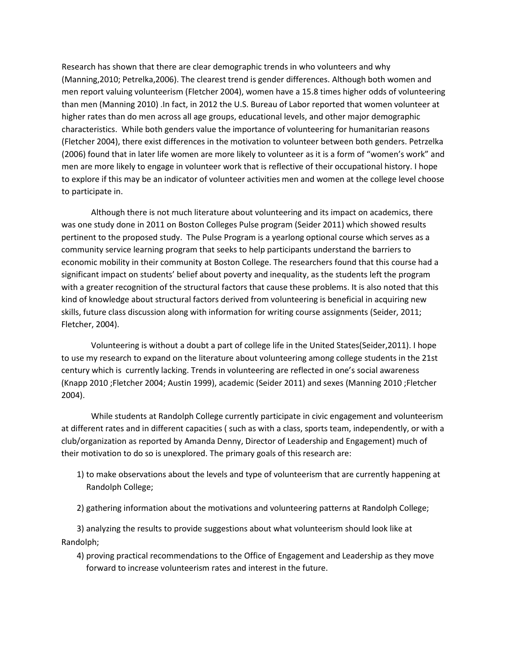Research has shown that there are clear demographic trends in who volunteers and why (Manning,2010; Petrelka,2006). The clearest trend is gender differences. Although both women and men report valuing volunteerism (Fletcher 2004), women have a 15.8 times higher odds of volunteering than men (Manning 2010) .In fact, in 2012 the U.S. Bureau of Labor reported that women volunteer at higher rates than do men across all age groups, educational levels, and other major demographic characteristics. While both genders value the importance of volunteering for humanitarian reasons (Fletcher 2004), there exist differences in the motivation to volunteer between both genders. Petrzelka (2006) found that in later life women are more likely to volunteer as it is a form of "women's work" and men are more likely to engage in volunteer work that is reflective of their occupational history. I hope to explore if this may be an indicator of volunteer activities men and women at the college level choose to participate in.

Although there is not much literature about volunteering and its impact on academics, there was one study done in 2011 on Boston Colleges Pulse program (Seider 2011) which showed results pertinent to the proposed study. The Pulse Program is a yearlong optional course which serves as a community service learning program that seeks to help participants understand the barriers to economic mobility in their community at Boston College. The researchers found that this course had a significant impact on students' belief about poverty and inequality, as the students left the program with a greater recognition of the structural factors that cause these problems. It is also noted that this kind of knowledge about structural factors derived from volunteering is beneficial in acquiring new skills, future class discussion along with information for writing course assignments (Seider, 2011; Fletcher, 2004).

Volunteering is without a doubt a part of college life in the United States(Seider,2011). I hope to use my research to expand on the literature about volunteering among college students in the 21st century which is currently lacking. Trends in volunteering are reflected in one's social awareness (Knapp 2010 ;Fletcher 2004; Austin 1999), academic (Seider 2011) and sexes (Manning 2010 ;Fletcher 2004).

While students at Randolph College currently participate in civic engagement and volunteerism at different rates and in different capacities ( such as with a class, sports team, independently, or with a club/organization as reported by Amanda Denny, Director of Leadership and Engagement) much of their motivation to do so is unexplored. The primary goals of this research are:

- 1) to make observations about the levels and type of volunteerism that are currently happening at Randolph College;
- 2) gathering information about the motivations and volunteering patterns at Randolph College;

3) analyzing the results to provide suggestions about what volunteerism should look like at Randolph;

4) proving practical recommendations to the Office of Engagement and Leadership as they move forward to increase volunteerism rates and interest in the future.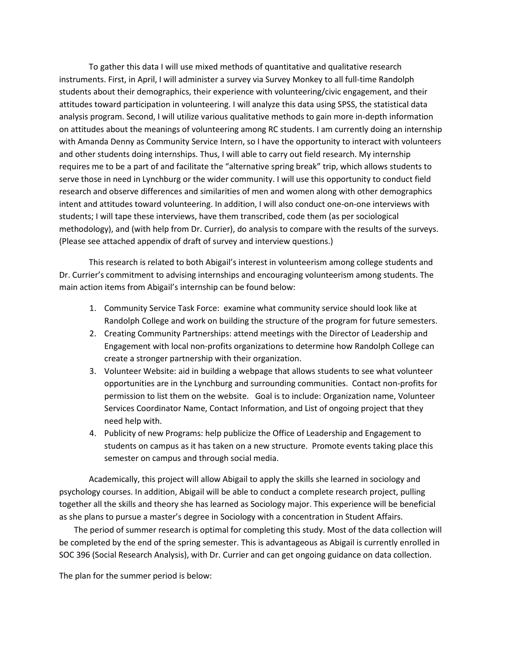To gather this data I will use mixed methods of quantitative and qualitative research instruments. First, in April, I will administer a survey via Survey Monkey to all full-time Randolph students about their demographics, their experience with volunteering/civic engagement, and their attitudes toward participation in volunteering. I will analyze this data using SPSS, the statistical data analysis program. Second, I will utilize various qualitative methods to gain more in-depth information on attitudes about the meanings of volunteering among RC students. I am currently doing an internship with Amanda Denny as Community Service Intern, so I have the opportunity to interact with volunteers and other students doing internships. Thus, I will able to carry out field research. My internship requires me to be a part of and facilitate the "alternative spring break" trip, which allows students to serve those in need in Lynchburg or the wider community. I will use this opportunity to conduct field research and observe differences and similarities of men and women along with other demographics intent and attitudes toward volunteering. In addition, I will also conduct one-on-one interviews with students; I will tape these interviews, have them transcribed, code them (as per sociological methodology), and (with help from Dr. Currier), do analysis to compare with the results of the surveys. (Please see attached appendix of draft of survey and interview questions.)

This research is related to both Abigail's interest in volunteerism among college students and Dr. Currier's commitment to advising internships and encouraging volunteerism among students. The main action items from Abigail's internship can be found below:

- 1. Community Service Task Force: examine what community service should look like at Randolph College and work on building the structure of the program for future semesters.
- 2. Creating Community Partnerships: attend meetings with the Director of Leadership and Engagement with local non-profits organizations to determine how Randolph College can create a stronger partnership with their organization.
- 3. Volunteer Website: aid in building a webpage that allows students to see what volunteer opportunities are in the Lynchburg and surrounding communities. Contact non-profits for permission to list them on the website. Goal is to include: Organization name, Volunteer Services Coordinator Name, Contact Information, and List of ongoing project that they need help with.
- 4. Publicity of new Programs: help publicize the Office of Leadership and Engagement to students on campus as it has taken on a new structure. Promote events taking place this semester on campus and through social media.

Academically, this project will allow Abigail to apply the skills she learned in sociology and psychology courses. In addition, Abigail will be able to conduct a complete research project, pulling together all the skills and theory she has learned as Sociology major. This experience will be beneficial as she plans to pursue a master's degree in Sociology with a concentration in Student Affairs.

The period of summer research is optimal for completing this study. Most of the data collection will be completed by the end of the spring semester. This is advantageous as Abigail is currently enrolled in SOC 396 (Social Research Analysis), with Dr. Currier and can get ongoing guidance on data collection.

The plan for the summer period is below: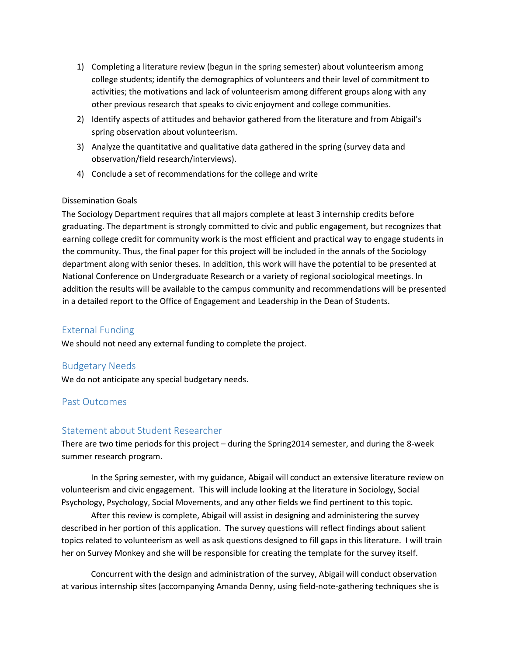- 1) Completing a literature review (begun in the spring semester) about volunteerism among college students; identify the demographics of volunteers and their level of commitment to activities; the motivations and lack of volunteerism among different groups along with any other previous research that speaks to civic enjoyment and college communities.
- 2) Identify aspects of attitudes and behavior gathered from the literature and from Abigail's spring observation about volunteerism.
- 3) Analyze the quantitative and qualitative data gathered in the spring (survey data and observation/field research/interviews).
- 4) Conclude a set of recommendations for the college and write

#### Dissemination Goals

The Sociology Department requires that all majors complete at least 3 internship credits before graduating. The department is strongly committed to civic and public engagement, but recognizes that earning college credit for community work is the most efficient and practical way to engage students in the community. Thus, the final paper for this project will be included in the annals of the Sociology department along with senior theses. In addition, this work will have the potential to be presented at National Conference on Undergraduate Research or a variety of regional sociological meetings. In addition the results will be available to the campus community and recommendations will be presented in a detailed report to the Office of Engagement and Leadership in the Dean of Students.

# External Funding

We should not need any external funding to complete the project.

# Budgetary Needs

We do not anticipate any special budgetary needs.

# Past Outcomes

# Statement about Student Researcher

There are two time periods for this project – during the Spring2014 semester, and during the 8-week summer research program.

In the Spring semester, with my guidance, Abigail will conduct an extensive literature review on volunteerism and civic engagement. This will include looking at the literature in Sociology, Social Psychology, Psychology, Social Movements, and any other fields we find pertinent to this topic.

After this review is complete, Abigail will assist in designing and administering the survey described in her portion of this application. The survey questions will reflect findings about salient topics related to volunteerism as well as ask questions designed to fill gaps in this literature. I will train her on Survey Monkey and she will be responsible for creating the template for the survey itself.

Concurrent with the design and administration of the survey, Abigail will conduct observation at various internship sites (accompanying Amanda Denny, using field-note-gathering techniques she is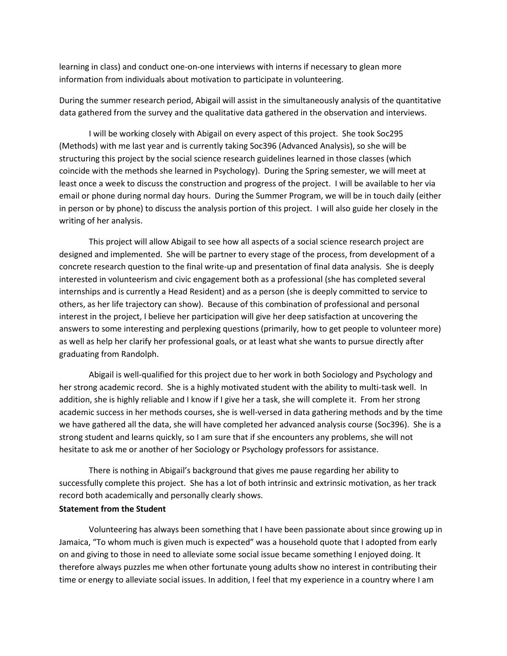learning in class) and conduct one-on-one interviews with interns if necessary to glean more information from individuals about motivation to participate in volunteering.

During the summer research period, Abigail will assist in the simultaneously analysis of the quantitative data gathered from the survey and the qualitative data gathered in the observation and interviews.

I will be working closely with Abigail on every aspect of this project. She took Soc295 (Methods) with me last year and is currently taking Soc396 (Advanced Analysis), so she will be structuring this project by the social science research guidelines learned in those classes (which coincide with the methods she learned in Psychology). During the Spring semester, we will meet at least once a week to discuss the construction and progress of the project. I will be available to her via email or phone during normal day hours. During the Summer Program, we will be in touch daily (either in person or by phone) to discuss the analysis portion of this project. I will also guide her closely in the writing of her analysis.

This project will allow Abigail to see how all aspects of a social science research project are designed and implemented. She will be partner to every stage of the process, from development of a concrete research question to the final write-up and presentation of final data analysis. She is deeply interested in volunteerism and civic engagement both as a professional (she has completed several internships and is currently a Head Resident) and as a person (she is deeply committed to service to others, as her life trajectory can show). Because of this combination of professional and personal interest in the project, I believe her participation will give her deep satisfaction at uncovering the answers to some interesting and perplexing questions (primarily, how to get people to volunteer more) as well as help her clarify her professional goals, or at least what she wants to pursue directly after graduating from Randolph.

Abigail is well-qualified for this project due to her work in both Sociology and Psychology and her strong academic record. She is a highly motivated student with the ability to multi-task well. In addition, she is highly reliable and I know if I give her a task, she will complete it. From her strong academic success in her methods courses, she is well-versed in data gathering methods and by the time we have gathered all the data, she will have completed her advanced analysis course (Soc396). She is a strong student and learns quickly, so I am sure that if she encounters any problems, she will not hesitate to ask me or another of her Sociology or Psychology professors for assistance.

There is nothing in Abigail's background that gives me pause regarding her ability to successfully complete this project. She has a lot of both intrinsic and extrinsic motivation, as her track record both academically and personally clearly shows.

#### **Statement from the Student**

Volunteering has always been something that I have been passionate about since growing up in Jamaica, "To whom much is given much is expected" was a household quote that I adopted from early on and giving to those in need to alleviate some social issue became something I enjoyed doing. It therefore always puzzles me when other fortunate young adults show no interest in contributing their time or energy to alleviate social issues. In addition, I feel that my experience in a country where I am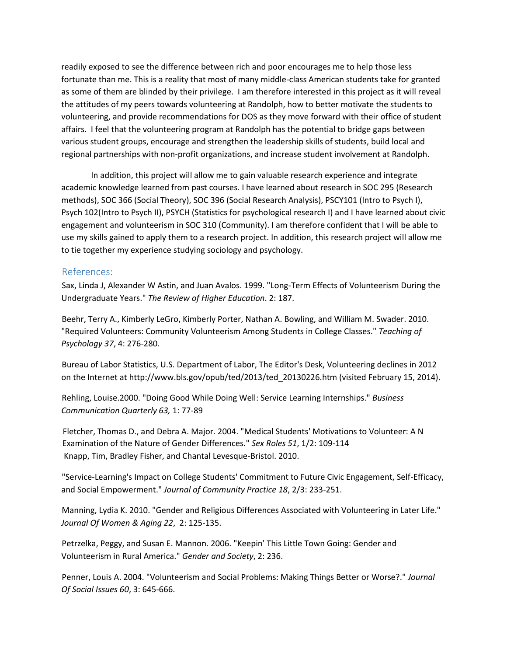readily exposed to see the difference between rich and poor encourages me to help those less fortunate than me. This is a reality that most of many middle-class American students take for granted as some of them are blinded by their privilege. I am therefore interested in this project as it will reveal the attitudes of my peers towards volunteering at Randolph, how to better motivate the students to volunteering, and provide recommendations for DOS as they move forward with their office of student affairs. I feel that the volunteering program at Randolph has the potential to bridge gaps between various student groups, encourage and strengthen the leadership skills of students, build local and regional partnerships with non-profit organizations, and increase student involvement at Randolph.

In addition, this project will allow me to gain valuable research experience and integrate academic knowledge learned from past courses. I have learned about research in SOC 295 (Research methods), SOC 366 (Social Theory), SOC 396 (Social Research Analysis), PSCY101 (Intro to Psych I), Psych 102(Intro to Psych II), PSYCH (Statistics for psychological research I) and I have learned about civic engagement and volunteerism in SOC 310 (Community). I am therefore confident that I will be able to use my skills gained to apply them to a research project. In addition, this research project will allow me to tie together my experience studying sociology and psychology.

#### References:

Sax, Linda J, Alexander W Astin, and Juan Avalos. 1999. "Long-Term Effects of Volunteerism During the Undergraduate Years." *The Review of Higher Education*. 2: 187.

Beehr, Terry A., Kimberly LeGro, Kimberly Porter, Nathan A. Bowling, and William M. Swader. 2010. "Required Volunteers: Community Volunteerism Among Students in College Classes." *Teaching of Psychology 37*, 4: 276-280.

Bureau of Labor Statistics, U.S. Department of Labor, The Editor's Desk, Volunteering declines in 2012 on the Internet at http://www.bls.gov/opub/ted/2013/ted\_20130226.htm (visited February 15, 2014).

Rehling, Louise.2000. "Doing Good While Doing Well: Service Learning Internships." *Business Communication Quarterly 63,* 1: 77-89

Fletcher, Thomas D., and Debra A. Major. 2004. "Medical Students' Motivations to Volunteer: A N Examination of the Nature of Gender Differences." *Sex Roles 51*, 1/2: 109-114 Knapp, Tim, Bradley Fisher, and Chantal Levesque-Bristol. 2010.

"Service-Learning's Impact on College Students' Commitment to Future Civic Engagement, Self-Efficacy, and Social Empowerment." *Journal of Community Practice 18*, 2/3: 233-251.

Manning, Lydia K. 2010. "Gender and Religious Differences Associated with Volunteering in Later Life." *Journal Of Women & Aging 22*, 2: 125-135.

Petrzelka, Peggy, and Susan E. Mannon. 2006. "Keepin' This Little Town Going: Gender and Volunteerism in Rural America." *Gender and Society*, 2: 236.

Penner, Louis A. 2004. "Volunteerism and Social Problems: Making Things Better or Worse?." *Journal Of Social Issues 60*, 3: 645-666.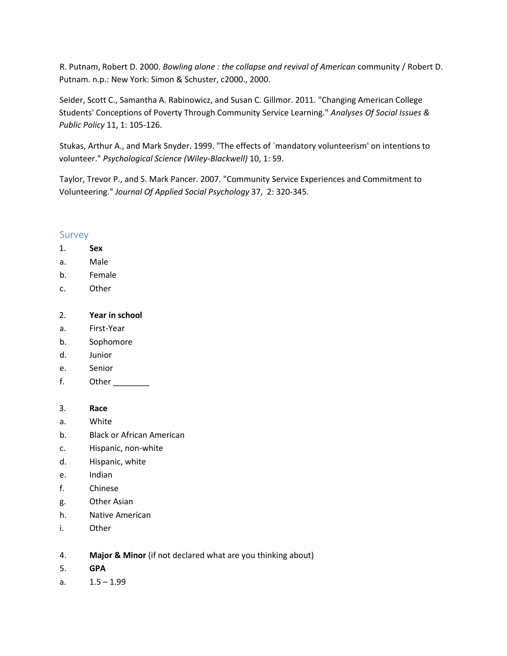R. Putnam, Robert D. 2000. *Bowling alone : the collapse and revival of American* community / Robert D. Putnam. n.p.: New York: Simon & Schuster, c2000., 2000.

Seider, Scott C., Samantha A. Rabinowicz, and Susan C. Gillmor. 2011. "Changing American College Students' Conceptions of Poverty Through Community Service Learning." *Analyses Of Social Issues & Public Policy* 11, 1: 105-126.

Stukas, Arthur A., and Mark Snyder. 1999. "The effects of `mandatory volunteerism' on intentions to volunteer." *Psychological Science (Wiley-Blackwell)* 10, 1: 59.

Taylor, Trevor P., and S. Mark Pancer. 2007. "Community Service Experiences and Commitment to Volunteering." *Journal Of Applied Social Psychology* 37, 2: 320-345.

# Survey

- 1. **Sex**
- a. Male
- b. Female
- c. Other

# 2. **Year in school**

- a. First-Year
- b. Sophomore
- d. Junior
- e. Senior
- f. Other

# 3. **Race**

- a. White
- b. Black or African American
- c. Hispanic, non-white
- d. Hispanic, white
- e. Indian
- f. Chinese
- g. Other Asian
- h. Native American
- i. Other
- 4. **Major & Minor** (if not declared what are you thinking about)
- 5. **GPA**
- a.  $1.5 1.99$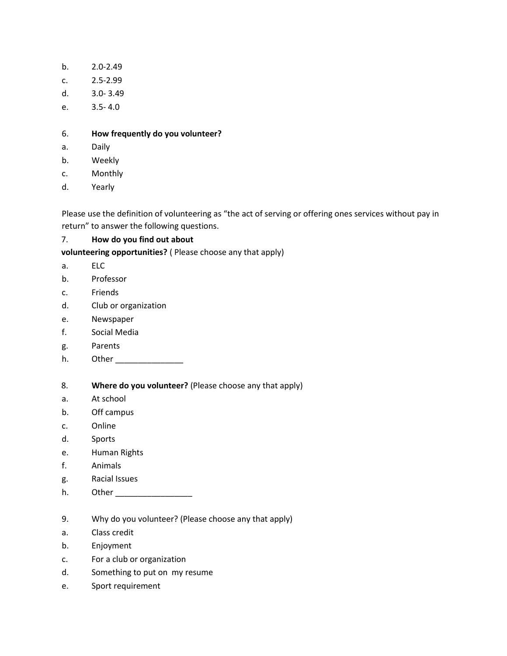- b. 2.0-2.49
- c. 2.5-2.99
- d. 3.0- 3.49
- e. 3.5- 4.0

# 6. **How frequently do you volunteer?**

- a. Daily
- b. Weekly
- c. Monthly
- d. Yearly

Please use the definition of volunteering as "the act of serving or offering ones services without pay in return" to answer the following questions.

# 7. **How do you find out about**

**volunteering opportunities?** ( Please choose any that apply)

- a. ELC
- b. Professor
- c. Friends
- d. Club or organization
- e. Newspaper
- f. Social Media
- g. Parents
- h. Other \_\_\_\_\_\_\_\_\_\_\_\_\_\_\_
- 8. **Where do you volunteer?** (Please choose any that apply)
- a. At school
- b. Off campus
- c. Online
- d. Sports
- e. Human Rights
- f. Animals
- g. Racial Issues
- h. Other **compared the compared of the compared of the compared of the compared of the compared of the compared of the compared of the compared of the compared of the compared of the compared of the compared of the compare**
- 9. Why do you volunteer? (Please choose any that apply)
- a. Class credit
- b. Enjoyment
- c. For a club or organization
- d. Something to put on my resume
- e. Sport requirement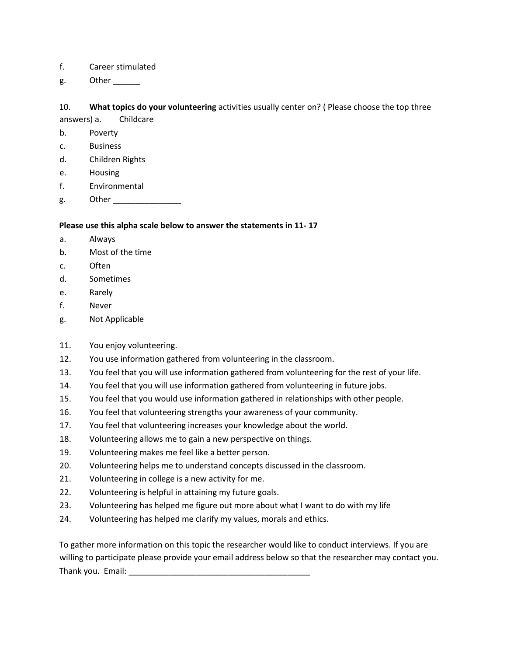### f. Career stimulated

g. Other

# 10. **What topics do your volunteering** activities usually center on? ( Please choose the top three

answers) a. Childcare

b. Poverty

- c. Business
- d. Children Rights
- e. Housing
- f. Environmental
- g. Other

# **Please use this alpha scale below to answer the statements in 11- 17**

- a. Always
- b. Most of the time
- c. Often
- d. Sometimes
- e. Rarely
- f. Never
- g. Not Applicable
- 11. You enjoy volunteering.
- 12. You use information gathered from volunteering in the classroom.
- 13. You feel that you will use information gathered from volunteering for the rest of your life.
- 14. You feel that you will use information gathered from volunteering in future jobs.
- 15. You feel that you would use information gathered in relationships with other people.
- 16. You feel that volunteering strengths your awareness of your community.
- 17. You feel that volunteering increases your knowledge about the world.
- 18. Volunteering allows me to gain a new perspective on things.
- 19. Volunteering makes me feel like a better person.
- 20. Volunteering helps me to understand concepts discussed in the classroom.
- 21. Volunteering in college is a new activity for me.
- 22. Volunteering is helpful in attaining my future goals.
- 23. Volunteering has helped me figure out more about what I want to do with my life
- 24. Volunteering has helped me clarify my values, morals and ethics.

To gather more information on this topic the researcher would like to conduct interviews. If you are willing to participate please provide your email address below so that the researcher may contact you. Thank you. Email: \_\_\_\_\_\_\_\_\_\_\_\_\_\_\_\_\_\_\_\_\_\_\_\_\_\_\_\_\_\_\_\_\_\_\_\_\_\_\_\_